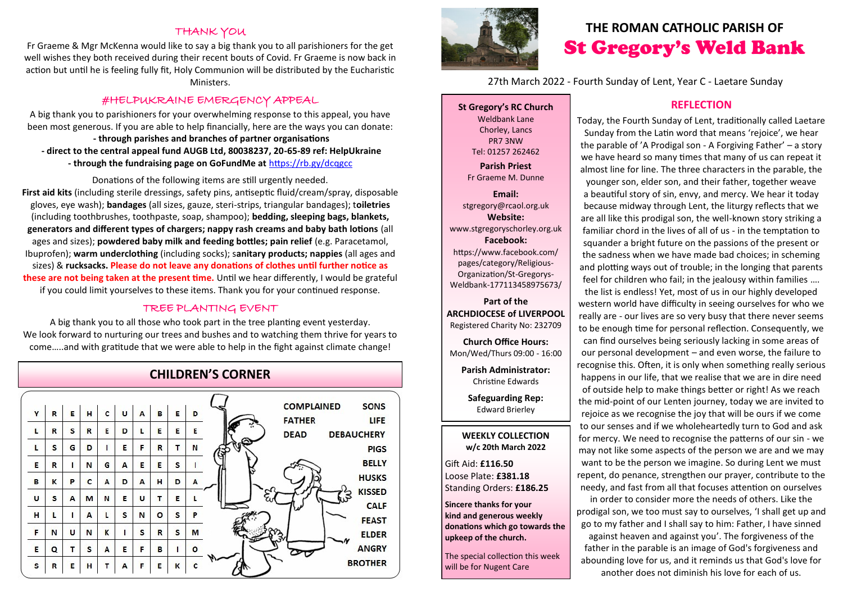### **THANK YOU**

Fr Graeme & Mgr McKenna would like to say a big thank you to all parishioners for the get well wishes they both received during their recent bouts of Covid. Fr Graeme is now back in action but until he is feeling fully fit, Holy Communion will be distributed by the Eucharistic **Ministers** 

### #HELPUKRAINE EMERGENCY APPEAL

A big thank you to parishioners for your overwhelming response to this appeal, you have been most generous. If you are able to help financially, here are the ways you can donate: **- through parishes and branches of partner organisations - direct to the central appeal fund AUGB Ltd, 80038237, 20-65-89 ref: HelpUkraine - through the fundraising page on GoFundMe at** <https://rb.gy/dcqgcc>

Donations of the following items are still urgently needed. **First aid kits** (including sterile dressings, safety pins, antiseptic fluid/cream/spray, disposable gloves, eye wash); **bandages** (all sizes, gauze, steri-strips, triangular bandages); t**oiletries**  (including toothbrushes, toothpaste, soap, shampoo); **bedding, sleeping bags, blankets, generators and different types of chargers; nappy rash creams and baby bath lotions** (all ages and sizes); **powdered baby milk and feeding bottles; pain relief** (e.g. Paracetamol, Ibuprofen); **warm underclothing** (including socks); s**anitary products; nappies** (all ages and sizes) & **rucksacks. Please do not leave any donations of clothes until further notice as these are not being taken at the present time.** Until we hear differently, I would be grateful if you could limit yourselves to these items. Thank you for your continued response.

### TREE PLANTING EVENT

A big thank you to all those who took part in the tree planting event yesterday. We look forward to nurturing our trees and bushes and to watching them thrive for years to come…..and with gratitude that we were able to help in the fight against climate change!

### **CHILDREN'S CORNER**





## **THE ROMAN CATHOLIC PARISH OF** St Gregory's Weld Bank

27th March 2022 - Fourth Sunday of Lent, Year C - Laetare Sunday

**St Gregory's RC Church** Weldbank Lane Chorley, Lancs PR7 3NW Tel: 01257 262462 **Parish Priest**

Fr Graeme M. Dunne

**Email:** stgregory@rcaol.org.uk **Website:** www.stgregoryschorley.org.uk **Facebook:** https://www.facebook.com/ pages/category/Religious-Organization/St-Gregorys-Weldbank-177113458975673/

**Part of the ARCHDIOCESE of LIVERPOOL**  Registered Charity No: 232709

**Church Office Hours:** Mon/Wed/Thurs 09:00 - 16:00

**Parish Administrator:** Christine Edwards

**Safeguarding Rep:** Edward Brierley

#### **WEEKLY COLLECTION w/c 20th March 2022**

Gift Aid: **£116.50** Loose Plate: **£381.18** Standing Orders: **£186.25**

**Sincere thanks for your kind and generous weekly donations which go towards the upkeep of the church.** 

The special collection this week will be for Nugent Care

### **REFLECTION**

Today, the Fourth Sunday of Lent, traditionally called Laetare Sunday from the Latin word that means 'rejoice', we hear the parable of 'A Prodigal son - A Forgiving Father' – a story we have heard so many times that many of us can repeat it almost line for line. The three characters in the parable, the younger son, elder son, and their father, together weave a [beautiful](https://www.catholicforlife.com/good-morning-world/) [story](https://www.catholicforlife.com/sides-story/) of [sin,](https://www.catholicforlife.com/you-are-still-worth-it/) envy, and mercy. We hear it today because midway through Lent, the liturgy reflects that we are all like this prodigal son, the well-known story striking a familiar chord in the lives of all of us - in the temptation to squander a bright future on the passions of the present or the sadness when we have made bad choices; in scheming and plotting ways out of trouble; in the longing that parents feel for children who fail; in the jealousy within families …. the list is endless! Yet, most of us in our highly developed western world have difficulty in seeing ourselves for who we really are - our lives are so very busy that there never seems to be enough time for personal reflection. Consequently, we can find ourselves being seriously lacking in some areas of our personal development – and even worse, the failure to recognise this. Often, it is only when something really serious happens in our life, that we realise that we are in dire need of outside help to make things better or right! As we reach the mid-point of our Lenten journey, today we are invited to rejoice as we recognise the joy that will be ours if we come to our senses and if we wholeheartedly turn to God and ask for mercy. We need to recognise the patterns of our sin - we may not like some aspects of the person we are and we may want to be the person we imagine. So during Lent we must repent, do penance, strengthen our prayer, contribute to the needy, and fast from all that focuses attention on ourselves

in order to consider more the needs of others. Like the prodigal son, we too must say to ourselves, 'I shall get up and go to my father and I shall say to him: Father, I have sinned against heaven and against you'. The forgiveness of the father in the parable is an image of God's forgiveness and abounding love for us, and it reminds us that God's love for another does not diminish his love for each of us.